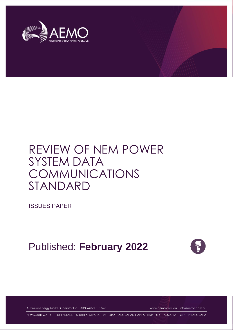

# REVIEW OF NEM POWER SYSTEM DATA COMMUNICATIONS STANDARD

ISSUES PAPER

Published: **February 2022**



Australian Energy Market Operator Ltd ABN 94 072 010 327 [www.aemo.com.au](http://www.aemo.com.au/) [info@aemo.com.au](mailto:info@aemo.com.au)

NEW SOUTH WALES QUEENSLAND SOUTH AUSTRALIA VICTORIA AUSTRALIAN CAPITAL TERRITORY TASMANIA WESTERN AUSTRALIA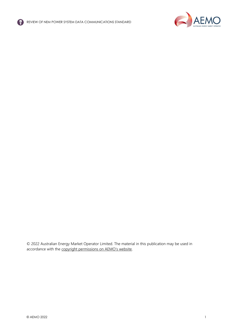



© 2022 Australian Energy Market Operator Limited. The material in this publication may be used in accordance with the [copyright permissions on AEMO's website](http://aemo.com.au/Privacy_and_Legal_Notices/Copyright_Permissions_Notice).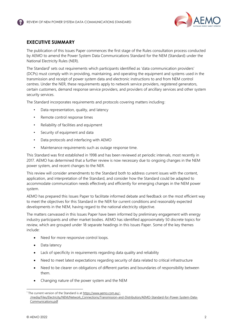

# <span id="page-2-0"></span>**EXECUTIVE SUMMARY**

The publication of this Issues Paper commences the first stage of the Rules consultation process conducted by AEMO to amend the Power System Data Communications Standard for the NEM (Standard) under the National Electricity Rules (NER).

The Standard<sup>1</sup> sets out requirements which participants identified as 'data communication providers' (DCPs) must comply with in providing, maintaining, and operating the equipment and systems used in the transmission and receipt of power system data and electronic instructions to and from NEM control centres. Under the NER, these requirements apply to network service providers, registered generators, certain customers, demand response service providers, and providers of ancillary services and other system security services.

The Standard incorporates requirements and protocols covering matters including:

- Data representation, quality, and latency
- Remote control response times
- Reliability of facilities and equipment
- Security of equipment and data
- Data protocols and interfacing with AEMO
- Maintenance requirements such as outage response time.

This Standard was first established in 1998 and has been reviewed at periodic intervals, most recently in 2017. AEMO has determined that a further review is now necessary due to ongoing changes in the NEM power system, and recent changes to the NER.

This review will consider amendments to the Standard both to address current issues with the content, application, and interpretation of the Standard, and consider how the Standard could be adapted to accommodate communication needs effectively and efficiently for emerging changes in the NEM power system.

AEMO has prepared this Issues Paper to facilitate informed debate and feedback on the most efficient way to meet the objectives for this Standard in the NER for current conditions and reasonably expected developments in the NEM, having regard to the national electricity objective.

The matters canvassed in this Issues Paper have been informed by preliminary engagement with energy industry participants and other market bodies. AEMO has identified approximately 50 discrete topics for review, which are grouped under 18 separate headings in this Issues Paper. Some of the key themes include:

- Need for more responsive control loops.
- Data latency
- Lack of specificity in requirements regarding data quality and reliability
- Need to meet latest expectations regarding security of data related to critical infrastructure
- Need to be clearer on obligations of different parties and boundaries of responsibility between them.
- Changing nature of the power system and the NEM

<sup>&</sup>lt;sup>1</sup> The current version of the Standard is at [https://www.aemo.com.au/-](https://www.aemo.com.au/-/media/Files/Electricity/NEM/Network_Connections/Transmission-and-Distribution/AEMO-Standard-for-Power-System-Data-Communications.pdf) [/media/Files/Electricity/NEM/Network\\_Connections/Transmission-and-Distribution/AEMO-Standard-for-Power-System-Data-](https://www.aemo.com.au/-/media/Files/Electricity/NEM/Network_Connections/Transmission-and-Distribution/AEMO-Standard-for-Power-System-Data-Communications.pdf)[Communications.pdf](https://www.aemo.com.au/-/media/Files/Electricity/NEM/Network_Connections/Transmission-and-Distribution/AEMO-Standard-for-Power-System-Data-Communications.pdf)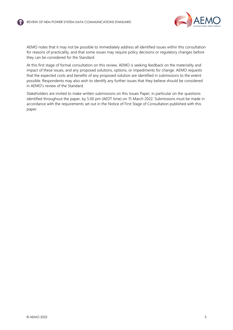

AEMO notes that it may not be possible to immediately address all identified issues within this consultation for reasons of practicality, and that some issues may require policy decisions or regulatory changes before they can be considered for the Standard.

At this first stage of formal consultation on this review, AEMO is seeking feedback on the materiality and impact of these issues, and any proposed solutions, options, or impediments for change. AEMO requests that the expected costs and benefits of any proposed solution are identified in submissions to the extent possible. Respondents may also wish to identify any further issues that they believe should be considered in AEMO's review of the Standard.

Stakeholders are invited to make written submissions on this Issues Paper, in particular on the questions identified throughout the paper, by 5.00 pm (AEDT time) on 15 March 2022. Submissions must be made in accordance with the requirements set out in the Notice of First Stage of Consultation published with this paper.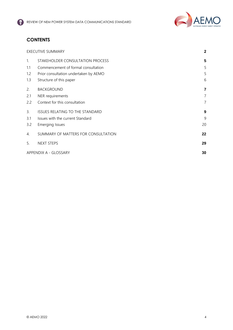

# **CONTENTS**

|                | <b>EXECUTIVE SUMMARY</b>              |    |
|----------------|---------------------------------------|----|
| $\mathbf{1}$ . | STAKEHOLDER CONSULTATION PROCESS      | 5  |
| 1.1            | Commencement of formal consultation   | 5  |
| 1.2            | Prior consultation undertaken by AEMO | 5  |
| 1.3            | Structure of this paper               | 6  |
| 2.             | <b>BACKGROUND</b>                     | 7  |
| 2.1            | NER requirements                      | 7  |
| 2.2            | Context for this consultation         | 7  |
| 3.             | ISSUES RELATING TO THE STANDARD       | 9  |
| 3.1            | Issues with the current Standard      | 9  |
| 3.2            | Emerging Issues                       | 20 |
| 4.             | SUMMARY OF MATTERS FOR CONSULTATION   | 22 |
| 5.             | <b>NEXT STEPS</b>                     | 29 |
|                | APPENDIX A - GLOSSARY                 |    |
|                |                                       |    |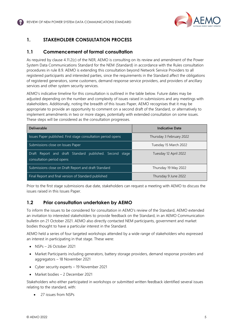

# <span id="page-5-0"></span>**1. STAKEHOLDER CONSULTATION PROCESS**

# <span id="page-5-1"></span>**1.1 Commencement of formal consultation**

As required by clause 4.11.2(c) of the NER, AEMO is consulting on its review and amendment of the Power System Data Communications Standard for the NEM (Standard) in accordance with the Rules consultation procedures in rule 8.9. AEMO is extending this consultation beyond Network Service Providers to all registered participants and interested parties, since the requirements in the Standard affect the obligations of registered generators, some customers, demand response service providers, and providers of ancillary services and other system security services.

AEMO's indicative timeline for this consultation is outlined in the table below. Future dates may be adjusted depending on the number and complexity of issues raised in submissions and any meetings with stakeholders. Additionally, noting the breadth of this Issues Paper, AEMO recognises that it may be appropriate to provide an opportunity to comment on a second draft of the Standard, or alternatively to implement amendments in two or more stages, potentially with extended consultation on some issues. These steps will be considered as the consultation progresses.

| <b>Deliverable</b>                                                                   | <b>Indicative Date</b>   |
|--------------------------------------------------------------------------------------|--------------------------|
| Issues Paper published. First stage consultation period opens                        | Thursday 3 February 2022 |
| Submissions close on Issues Paper                                                    | Tuesday 15 March 2022    |
| Draft Report and draft Standard published. Second stage<br>consultation period opens | Tuesday 12 April 2022    |
| Submissions close on Draft Report and draft Standard                                 | Thursday 19 May 2022     |
| Final Report and final version of Standard published                                 | Thursday 9 June 2022     |

Prior to the first stage submissions due date, stakeholders can request a meeting with AEMO to discuss the issues raised in this Issues Paper.

# <span id="page-5-2"></span>**1.2 Prior consultation undertaken by AEMO**

To inform the issues to be considered for consultation in AEMO's review of the Standard, AEMO extended an invitation to interested stakeholders to provide feedback on the Standard, in an AEMO Communication bulletin on 21 October 2021. AEMO also directly contacted NEM participants, government and market bodies thought to have a particular interest in the Standard.

AEMO held a series of four targeted workshops attended by a wide range of stakeholders who expressed an interest in participating in that stage. These were:

- $\bullet$  NSPs 26 October 2021
- Market Participants including generators, battery storage providers, demand response providers and aggregators – 18 November 2021
- Cyber security experts 19 November 2021
- Market bodies 2 December 2021

Stakeholders who either participated in workshops or submitted written feedback identified several issues relating to the standard, with:

• 27 issues from NSPs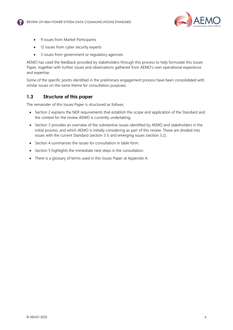

- 9 issues from Market Participants
- 12 issues from cyber security experts
- 3 issues from government or regulatory agencies.

AEMO has used the feedback provided by stakeholders through this process to help formulate this Issues Paper, together with further issues and observations gathered from AEMO's own operational experience and expertise.

Some of the specific points identified in the preliminary engagement process have been consolidated with similar issues on the same theme for consultation purposes.

## <span id="page-6-0"></span>**1.3 Structure of this paper**

The remainder of this Issues Paper is structured as follows:

- Section 2 explains the NER requirements that establish the scope and application of the Standard and the context for the review AEMO is currently undertaking.
- Section 3 provides an overview of the substantive issues identified by AEMO and stakeholders in the initial process, and which AEMO is initially considering as part of this review. These are divided into issues with the current Standard (section 3.1) and emerging issues (section 3.2).
- Section 4 summarises the issues for consultation in table form.
- Section 5 highlights the immediate next steps in the consultation.
- There is a glossary of terms used in this Issues Paper at Appendix A.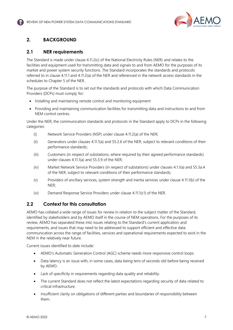

# <span id="page-7-0"></span>**2. BACKGROUND**

## <span id="page-7-1"></span>**2.1 NER requirements**

The Standard is made under clause 4.11.2(c) of the National Electricity Rules (NER) and relates to the facilities and equipment used for transmitting data and signals to and from AEMO for the purposes of its market and power system security functions. The Standard incorporates the standards and protocols referred to in clause 4.11.1 and 4.11.2(a) of the NER and referenced in the network access standards in the schedules to Chapter 5 of the NER.

The purpose of the Standard is to set out the standards and protocols with which Data Communication Providers (DCPs) must comply for:

- Installing and maintaining remote control and monitoring equipment
- Providing and maintaining communication facilities for transmitting data and instructions to and from NEM control centres.

Under the NER, the communication standards and protocols in the Standard apply to DCPs in the following categories:

- (i) Network Service Providers (NSP) under clause 4.11.2(a) of the NER;
- (ii) Generators under clauses 4.11.1(a) and S5.2.6 of the NER, subject to relevant conditions of their performance standards;
- (iii) Customers (in respect of substations, where required by their agreed performance standards) under clauses 4.11.1(a) and S5.3.9 of the NER;
- (iv) Market Network Service Providers (in respect of substations) under clauses 4.1.1(a) and S5.3a.4 of the NER, subject to relevant conditions of their performance standards;
- (v) Providers of ancillary services, system strength and inertia services under clause 4.11.1(b) of the NER;
- (vi) Demand Response Service Providers under clause 4.11.1(c1) of the NER.

## <span id="page-7-2"></span>**2.2 Context for this consultation**

AEMO has collated a wide range of issues for review in relation to the subject matter of the Standard, identified by stakeholders and by AEMO itself in the course of NEM operations. For the purposes of its review, AEMO has separated these into issues relating to the Standard's current application and requirements, and issues that may need to be addressed to support efficient and effective data communication across the range of facilities, services and operational requirements expected to exist in the NEM in the relatively near future.

Current issues identified to date include:

- AEMO's Automatic Generation Control (AGC) scheme needs more responsive control loops.
- Data latency is an issue with, in some cases, data being tens of seconds old before being received by AEMO.
- Lack of specificity in requirements regarding data quality and reliability.
- The current Standard does not reflect the latest expectations regarding security of data related to critical infrastructure.
- Insufficient clarity on obligations of different parties and boundaries of responsibility between them.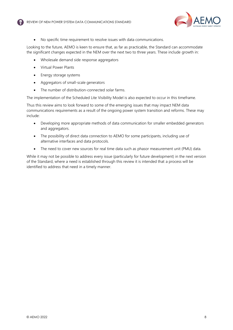

• No specific time requirement to resolve issues with data communications.

Looking to the future, AEMO is keen to ensure that, as far as practicable, the Standard can accommodate the significant changes expected in the NEM over the next two to three years. These include growth in:

- Wholesale demand side response aggregators
- Virtual Power Plants
- Energy storage systems
- Aggregators of small-scale generators
- The number of distribution-connected solar farms.

The implementation of the Scheduled Lite Visibility Model is also expected to occur in this timeframe.

Thus this review aims to look forward to some of the emerging issues that may impact NEM data communications requirements as a result of the ongoing power system transition and reforms. These may include:

- Developing more appropriate methods of data communication for smaller embedded generators and aggregators.
- The possibility of direct data connection to AEMO for some participants, including use of alternative interfaces and data protocols.
- The need to cover new sources for real time data such as phasor measurement unit (PMU) data.

While it may not be possible to address every issue (particularly for future development) in the next version of the Standard, where a need is established through this review it is intended that a process will be identified to address that need in a timely manner.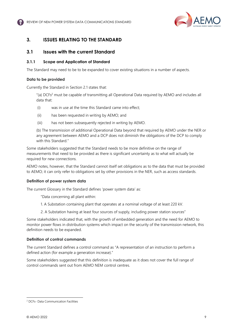

# <span id="page-9-0"></span>**3. ISSUES RELATING TO THE STANDARD**

## <span id="page-9-1"></span>**3.1 Issues with the current Standard**

#### **3.1.1 Scope and Application of Standard**

The Standard may need to be to be expanded to cover existing situations in a number of aspects.

#### **Data to be provided**

Currently the Standard in Section 2.1 states that:

"(a) DCFs<sup>2</sup> must be capable of transmitting all Operational Data required by AEMO and includes all data that:

- (i) was in use at the time this Standard came into effect;
- (ii) has been requested in writing by AEMO; and
- (iii) has not been subsequently rejected in writing by AEMO.

(b) The transmission of additional Operational Data beyond that required by AEMO under the NER or any agreement between AEMO and a DCP does not diminish the obligations of the DCP to comply with this Standard."

Some stakeholders suggested that the Standard needs to be more definitive on the range of measurements that need to be provided as there is significant uncertainty as to what will actually be required for new connections.

AEMO notes, however, that the Standard cannot itself set obligations as to the data that must be provided to AEMO; it can only refer to obligations set by other provisions in the NER, such as access standards.

#### **Definition of power system data**

The current Glossary in the Standard defines 'power system data' as:

"Data concerning all plant within:

- 1. A Substation containing plant that operates at a nominal voltage of at least 220 kV.
- 2. A Substation having at least four sources of supply, including power station sources"

Some stakeholders indicated that, with the growth of embedded generation and the need for AEMO to monitor power flows in distribution systems which impact on the security of the transmission network, this definition needs to be expanded.

#### **Definition of control commands**

The current Standard defines a control command as "A representation of an instruction to perform a defined action (for example a generation increase)."

Some stakeholders suggested that this definition is inadequate as it does not cover the full range of control commands sent out from AEMO NEM control centres.

<sup>2</sup> DCFs- Data Communication Facilities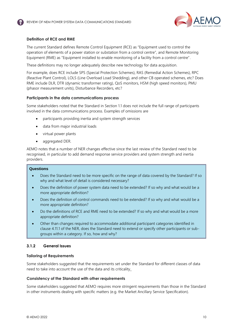

#### **Definition of RCE and RME**

The current Standard defines Remote Control Equipment (RCE) as "Equipment used to control the operation of elements of a power station or substation from a control centre", and Remote Monitoring Equipment (RME) as "Equipment installed to enable monitoring of a facility from a control centre".

These definitions may no longer adequately describe new technology for data acquisition.

For example, does RCE include SPS (Special Protection Schemes), RAS (Remedial Action Schemes), RPC (Reactive Plant Control), LOLS (Line Overload Load Shedding), and other CB operated schemes, etc? Does RME include DLR, DTR (dynamic transformer rating), QoS monitors, HSM (high speed monitors), PMU (phasor measurement units), Disturbance Recorders, etc?

#### **Participants in the data communications process**

Some stakeholders noted that the Standard in Section 1.1 does not include the full range of participants involved in the data communications process. Examples of omissions are

- participants providing inertia and system strength services
- data from major industrial loads
- virtual power plants
- aggregated DER.

AEMO notes that a number of NER changes effective since the last review of the Standard need to be recognised, in particular to add demand response service providers and system strength and inertia providers.

#### **Questions**

- Does the Standard need to be more specific on the range of data covered by the Standard? If so why and what level of detail is considered necessary?
- Does the definition of power system data need to be extended? If so why and what would be a more appropriate definition?
- Does the definition of control commands need to be extended? If so why and what would be a more appropriate definition?
- Do the definitions of RCE and RME need to be extended? If so why and what would be a more appropriate definition?
- Other than changes required to accommodate additional participant categories identified in clause 4.11.1 of the NER, does the Standard need to extend or specify other participants or subgroups within a category. If so, how and why?

#### **3.1.2 General Issues**

#### **Tailoring of Requirements**

Some stakeholders suggested that the requirements set under the Standard for different classes of data need to take into account the use of the data and its criticality.

#### **Consistency of the Standard with other requirements**

Some stakeholders suggested that AEMO requires more stringent requirements than those in the Standard in other instruments dealing with specific matters (e.g. the Market Ancillary Service Specification).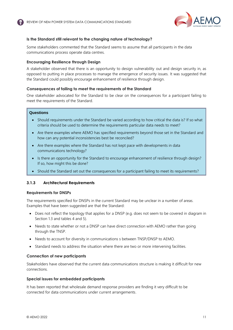

#### **Is the Standard still relevant to the changing nature of technology?**

Some stakeholders commented that the Standard seems to assume that all participants in the data communications process operate data centres.

#### **Encouraging Resilience through Design**

A stakeholder observed that there is an opportunity to design vulnerability out and design security in, as opposed to putting in place processes to manage the emergence of security issues. It was suggested that the Standard could possibly encourage enhancement of resilience through design.

#### **Consequences of failing to meet the requirements of the Standard**

One stakeholder advocated for the Standard to be clear on the consequences for a participant failing to meet the requirements of the Standard.

#### **Questions**

- Should requirements under the Standard be varied according to how critical the data is? If so what criteria should be used to determine the requirements particular data needs to meet?
- Are there examples where AEMO has specified requirements beyond those set in the Standard and how can any potential inconsistencies best be reconciled?
- Are there examples where the Standard has not kept pace with developments in data communications technology?
- Is there an opportunity for the Standard to encourage enhancement of resilience through design? If so, how might this be done?
- Should the Standard set out the consequences for a participant failing to meet its requirements?

#### **3.1.3 Architectural Requirements**

#### **Requirements for DNSPs**

The requirements specified for DNSPs in the current Standard may be unclear in a number of areas. Examples that have been suggested are that the Standard:

- Does not reflect the topology that applies for a DNSP (e.g. does not seem to be covered in diagram in Section 1.3 and tables 4 and 5).
- Needs to state whether or not a DNSP can have direct connection with AEMO rather than going through the TNSP.
- Needs to account for diversity in communications s between TNSP/DNSP to AEMO.
- Standard needs to address the situation where there are two or more intervening facilities.

#### **Connection of new participants**

Stakeholders have observed that the current data communications structure is making it difficult for new connections.

#### **Special issues for embedded participants**

It has been reported that wholesale demand response providers are finding it very difficult to be connected for data communications under current arrangements.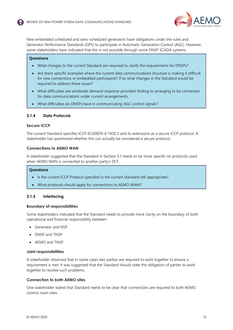

New embedded scheduled and semi-scheduled generators have obligations under the rules and Generator Performance Standards (GPS) to participate in Automatic Generation Control (AGC). However, some stakeholders have indicated that this is not possible through some DNSP SCADA systems.

#### **Questions**

- What changes to the current Standard are required to clarify the requirements for DNSPs?
- Are there specific examples where the current data communications structure is making it difficult for new connections or embedded participants? If so what changes in the Standard would be required to address these issues?
- What difficulties are wholesale demand response providers finding to arranging to be connected for data communications under current arrangements.
- What difficulties do DNSPs have in communicating AGC control signals?

#### **3.1.4 Data Protocols**

#### **Secure ICCP**

The current Standard specifies ICCP IEC60870-6 TASE.2 and its extensions as a secure ICCP protocol. A stakeholder has questioned whether this can actually be considered a secure protocol.

#### **Connections to AEMO WAN**

A stakeholder suggested that the Standard in Section 5.1 needs to be more specific on protocols used when AEMO WAN is connected to another party's DCF.

#### **Questions**

- Is the current ICCP Protocol specified in the current Standard still appropriate?
- What protocols should apply for connections to AEMO WAM?

#### **3.1.5 Interfacing**

#### **Boundary of responsibilities**

Some stakeholders indicated that the Standard needs to provide more clarity on the boundary of both operational and financial responsibility between:

- Generator and NSP
- DNSP and TNSP
- AEMO and TNSP.

#### **Joint responsibilities**

A stakeholder observed that in some cases two parties are required to work together to ensure a requirement is met. It was suggested that the Standard should state the obligation of parties to work together to resolve such problems.

#### **Connection to both AEMO sites**

One stakeholder stated that Standard needs to be clear that connections are required to both AEMO control room sites.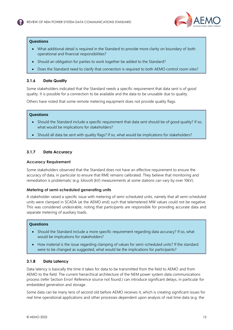

#### **Questions**

- What additional detail is required in the Standard to provide more clarity on boundary of both operational and financial responsibilities?
- Should an obligation for parties to work together be added to the Standard?
- Does the Standard need to clarify that connection is required to both AEMO control room sites?

#### **3.1.6 Data Quality**

Some stakeholders indicated that the Standard needs a specific requirement that data sent is of good quality. It is possible for a connection to be available and the data to be unusable due to quality.

Others have noted that some remote metering equipment does not provide quality flags.

#### **Questions**

- Should the Standard include a specific requirement that data sent should be of good quality? If so, what would be implications for stakeholders?
- Should all data be sent with quality flags? If so, what would be implications for stakeholders?

## **3.1.7 Data Accuracy**

#### **Accuracy Requirement**

Some stakeholders observed that the Standard does not have an effective requirement to ensure the accuracy of data, in particular to ensure that RME remains calibrated. They believe that monitoring and remediation is problematic (e.g. kilovolt (kV) measurements at some stations can vary by over 10kV).

#### **Metering of semi-scheduled generating units**

A stakeholder raised a specific issue with metering of semi-scheduled units, namely that all semi-scheduled units were clamped in SCADA (at the AEMO end) such that telemetered MW values could not be negative. This was considered undesirable, noting that participants are responsible for providing accurate data and separate metering of auxiliary loads.

#### **Questions**

- Should the Standard include a more specific requirement regarding data accuracy? If so, what would be implications for stakeholders?
- How material is the issue regarding clamping of values for semi-scheduled units? If the standard were to be changed as suggested, what would be the implications for participants?

#### **3.1.8 Data Latency**

Data latency is basically the time it takes for data to be transmitted from the field to AEMO and from AEMO to the field. The current hierarchical architecture of the NEM power system data communications process (refer Section Error! Reference source not found.) can introduce significant delays, in particular for embedded generation and storage.

Some data can be many tens of second old before AEMO receives it, which is creating significant issues for real time operational applications and other processes dependent upon analysis of real time data (e.g. the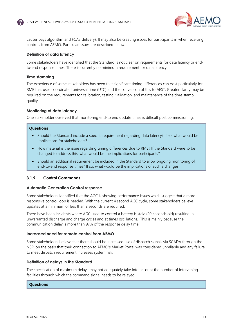

causer pays algorithm and FCAS delivery). It may also be creating issues for participants in when receiving controls from AEMO. Particular issues are described below.

#### **Definition of data latency**

Some stakeholders have identified that the Standard is not clear on requirements for data latency or endto-end response times. There is currently no minimum requirement for data latency.

#### **Time stamping**

The experience of some stakeholders has been that significant timing differences can exist particularly for RME that uses coordinated universal time (UTC) and the conversion of this to AEST. Greater clarity may be required on the requirements for calibration, testing, validation, and maintenance of the time stamp quality.

#### **Monitoring of data latency**

One stakeholder observed that monitoring end-to end update times is difficult post commissioning.

#### **Questions**

- Should the Standard include a specific requirement regarding data latency? If so, what would be implications for stakeholders?
- How material is the issue regarding timing differences due to RME? If the Standard were to be changed to address this, what would be the implications for participants?
- Should an additional requirement be included in the Standard to allow ongoing monitoring of end-to-end response times? If so, what would be the implications of such a change?

#### **3.1.9 Control Commands**

#### **Automatic Generation Control response**

Some stakeholders identified that the AGC is showing performance issues which suggest that a more responsive control loop is needed. With the current 4 second AGC cycle, some stakeholders believe updates at a minimum of less than 2 seconds are required.

There have been incidents where AGC used to control a battery is stale (20 seconds old) resulting in unwarranted discharge and charge cycles and at times oscillations. This is mainly because the communication delay is more than 97% of the response delay time.

#### **Increased need for remote control from AEMO**

Some stakeholders believe that there should be increased use of dispatch signals via SCADA through the NSP, on the basis that their connection to AEMO's Market Portal was considered unreliable and any failure to meet dispatch requirement increases system risk.

#### **Definition of delays in the Standard**

The specification of maximum delays may not adequately take into account the number of intervening facilities through which the command signal needs to be relayed.

#### **Questions**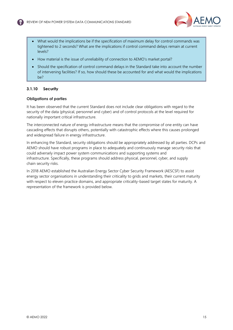

- What would the implications be if the specification of maximum delay for control commands was tightened to 2 seconds? What are the implications if control command delays remain at current levels?
- How material is the issue of unreliability of connection to AEMO's market portal?
- Should the specification of control command delays in the Standard take into account the number of intervening facilities? If so, how should these be accounted for and what would the implications be?

#### **3.1.10 Security**

#### **Obligations of parties**

It has been observed that the current Standard does not include clear obligations with regard to the security of the data (physical, personnel and cyber) and of control protocols at the level required for nationally important critical infrastructure.

The interconnected nature of energy infrastructure means that the compromise of one entity can have cascading effects that disrupts others, potentially with catastrophic effects where this causes prolonged and widespread failure in energy infrastructure.

In enhancing the Standard, security obligations should be appropriately addressed by all parties. DCPs and AEMO should have robust programs in place to adequately and continuously manage security risks that could adversely impact power system communications and supporting systems and infrastructure. Specifically, these programs should address physical, personnel, cyber, and supply chain security risks.

In 2018 AEMO established the Australian Energy Sector Cyber Security Framework (AESCSF) to assist energy sector organisations in understanding their criticality to grids and markets, their current maturity with respect to eleven practice domains, and appropriate criticality-based target states for maturity. A representation of the framework is provided below.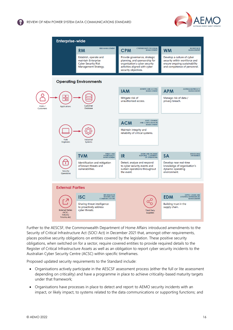



Further to the AESCSF, the Commonwealth Department of Home Affairs introduced amendments to the Security of Critical Infrastructure Act (SOCI Act) in December 2021 that, amongst other requirements, places positive security obligations on entities covered by the legislation. These positive security obligations, when switched on for a sector, require covered entities to provide required details to the Register of Critical Infrastructure Assets as well as an obligation to report cyber security incidents to the Australian Cyber Security Centre (ACSC) within specific timeframes.

Proposed updated security requirements to the Standard include:

- Organisations actively participate in the AESCSF assessment process (either the full or lite assessment depending on criticality) and have a programme in place to achieve criticality-based maturity targets under that framework;
- Organisations have processes in place to detect and report to AEMO security incidents with an impact, or likely impact, to systems related to the data communications or supporting functions; and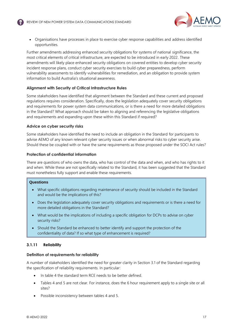

• Organisations have processes in place to exercise cyber response capabilities and address identified opportunities.

Further amendments addressing enhanced security obligations for systems of national significance, the most critical elements of critical infrastructure, are expected to be introduced in early 2022. These amendments will likely place enhanced security obligations on covered entities to develop cyber security incident response plans, conduct cyber security exercises to build cyber preparedness, perform vulnerability assessments to identify vulnerabilities for remediation, and an obligation to provide system information to build Australia's situational awareness.

#### **Alignment with Security of Critical Infrastructure Rules**

Some stakeholders have identified that alignment between the Standard and these current and proposed regulations requires consideration. Specifically, does the legislation adequately cover security obligations and requirements for power system data communications, or is there a need for more detailed obligations in the Standard? What approach should be taken to aligning and referencing the legislative obligations and requirements and expanding upon these within this Standard if required?

#### **Advice on cyber security risks**

Some stakeholders have identified the need to include an obligation in the Standard for participants to advise AEMO of any known relevant cyber security issues or when abnormal risks to cyber security arise. Should these be coupled with or have the same requirements as those proposed under the SOCI Act rules?

#### **Protection of confidential information**

There are questions of who owns the data, who has control of the data and when, and who has rights to it and when. While these are not specifically related to the Standard, it has been suggested that the Standard must nonetheless fully support and enable these requirements.

#### **Questions**

- What specific obligations regarding maintenance of security should be included in the Standard and would be the implications of this?
- Does the legislation adequately cover security obligations and requirements or is there a need for more detailed obligations in the Standard?
- What would be the implications of including a specific obligation for DCPs to advise on cyber security risks?
- Should the Standard be enhanced to better identify and support the protection of the confidentiality of data? If so what type of enhancement is required?

#### **3.1.11 Reliability**

#### **Definition of requirements for reliability**

A number of stakeholders identified the need for greater clarity in Section 3.1 of the Standard regarding the specification of reliability requirements. In particular:

- In table 4 the standard term RCE needs to be better defined.
- Tables 4 and 5 are not clear. For instance, does the 6 hour requirement apply to a single site or all sites?
- Possible inconsistency between tables 4 and 5.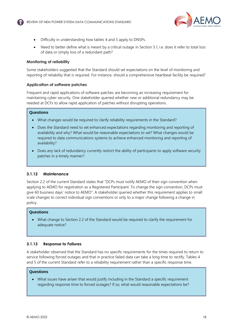

- Difficulty in understanding how tables 4 and 5 apply to DNSPs.
- Need to better define what is meant by a critical outage in Section 3.1, i.e. does it refer to total loss of data or simply loss of a redundant path?

#### **Monitoring of reliability**

Some stakeholders suggested that the Standard should set expectations on the level of monitoring and reporting of reliability that is required. For instance, should a comprehensive heartbeat facility be required?

#### **Application of software patches**

Frequent and rapid applications of software patches are becoming an increasing requirement for maintaining cyber security. One stakeholder queried whether new or additional redundancy may be needed at DCFs to allow rapid application of patches without disrupting operations.

#### **Questions**

- What changes would be required to clarify reliability requirements in the Standard?
- Does the Standard need to set enhanced expectations regarding monitoring and reporting of availability and why? What would be reasonable expectations to set? What changes would be required to data communications systems to achieve enhanced monitoring and reporting of availability?
- Does any lack of redundancy currently restrict the ability of participants to apply software security patches in a timely manner?

## **3.1.12 Maintenance**

Section 2.2 of the current Standard states that "DCPs must notify AEMO of their sign convention when applying to AEMO for registration as a Registered Participant. To change the sign convention, DCPs must give 60 business days' notice to AEMO". A stakeholder queried whether this requirement applies to small scale changes to correct individual sign conventions or only to a major change following a change in policy.

#### **Questions**

• What change to Section 2.2 of the Standard would be required to clarify the requirement for adequate notice?

## **3.1.13 Response to Failures**

A stakeholder observed that the Standard has no specific requirements for the times required to return to service following forced outages and that in practice failed data can take a long time to rectify. Tables 4 and 5 of the current Standard refer to a reliability requirement rather than a specific response time.

#### **Questions**

• What issues have arisen that would justify including in the Standard a specific requirement regarding response time to forced outages? If so, what would reasonable expectations be?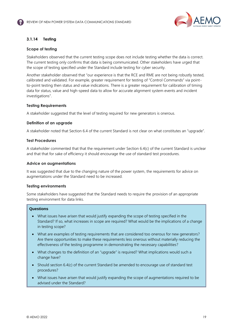

## **3.1.14 Testing**

#### **Scope of testing**

Stakeholders observed that the current testing scope does not include testing whether the data is correct. The current testing only confirms that data is being communicated. Other stakeholders have urged that the scope of testing specified under the Standard include testing for cyber security.

Another stakeholder observed that "our experience is that the RCE and RME are not being robustly tested, calibrated and validated. For example, greater requirement for testing of "Control Commands" via pointto-point testing then status and value indications. There is a greater requirement for calibration of timing data for status, value and high-speed data to allow for accurate alignment system events and incident investigations".

#### **Testing Requirements**

A stakeholder suggested that the level of testing required for new generators is onerous.

#### **Definition of an upgrade**

A stakeholder noted that Section 6.4 of the current Standard is not clear on what constitutes an "upgrade".

#### **Test Procedures**

A stakeholder commented that that the requirement under Section 6.4(c) of the current Standard is unclear and that that for sake of efficiency it should encourage the use of standard test procedures.

#### **Advice on augmentations**

It was suggested that due to the changing nature of the power system, the requirements for advice on augmentations under the Standard need to be increased.

#### **Testing environments**

Some stakeholders have suggested that the Standard needs to require the provision of an appropriate testing environment for data links.

#### **Questions**

- What issues have arisen that would justify expanding the scope of testing specified in the Standard? If so, what increases in scope are required? What would be the implications of a change in testing scope?
- What are examples of testing requirements that are considered too onerous for new generators? Are there opportunities to make these requirements less onerous without materially reducing the effectiveness of the testing programme in demonstrating the necessary capabilities?
- What changes to the definition of an "upgrade" is required? What implications would such a change have?
- Should section 6.4(c) of the current Standard be amended to encourage use of standard test procedures?
- What issues have arisen that would justify expanding the scope of augmentations required to be advised under the Standard?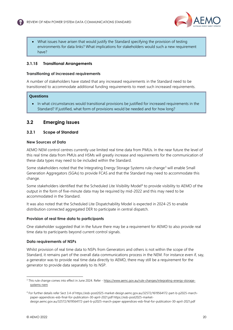

• What issues have arisen that would justify the Standard specifying the provision of testing environments for data links? What implications for stakeholders would such a new requirement have?

#### **3.1.15 Transitional Arrangements**

#### **Transitioning of increased requirements**

A number of stakeholders have stated that any increased requirements in the Standard need to be transitioned to accommodate additional funding requirements to meet such increased requirements.

#### **Questions**

• In what circumstances would transitional provisions be justified for increased requirements in the Standard? If justified, what form of provisions would be needed and for how long?

## <span id="page-20-0"></span>**3.2 Emerging Issues**

#### **3.2.1 Scope of Standard**

#### **New Sources of Data**

AEMO NEM control centres currently use limited real time data from PMUs. In the near future the level of this real time data from PMUs and HSMs will greatly increase and requirements for the communication of these data types may need to be included within the Standard.

Some stakeholders noted that the Integrating Energy Storage Systems rule change<sup>3</sup> will enable Small Generation Aggregators (SGAs) to provide FCAS and that the Standard may need to accommodate this change.

Some stakeholders identified that the Scheduled Lite Visibility Model<sup>4</sup> to provide visibility to AEMO of the output in the form of five-minute data may be required by mid-2022 and this may need to be accommodated in the Standard.

It was also noted that the Scheduled Lite Dispatchability Model is expected in 2024-25 to enable distribution connected aggregated DER to participate in central dispatch.

#### **Provision of real time data to participants**

One stakeholder suggested that in the future there may be a requirement for AEMO to also provide real time data to participants beyond current control signals.

#### **Data requirements of NSPs**

Whilst provision of real time data to NSPs from Generators and others is not within the scope of the Standard, it remains part of the overall data communications process in the NEM. For instance even if, say, a generator was to provide real time data directly to AEMO, there may still be a requirement for the generator to provide data separately to its NSP.

<sup>&</sup>lt;sup>3</sup> This rule change comes into effect in June 2024. Refer - [https://www.aemc.gov.au/rule-changes/integrating-energy-storage](https://www.aemc.gov.au/rule-changes/integrating-energy-storage-systems-nem)[systems-nem](https://www.aemc.gov.au/rule-changes/integrating-energy-storage-systems-nem)

<sup>4</sup> For further details refer Sect 3.4 of https://esb-post2025-market-design.aemc.gov.au/32572/1619564172-part-b-p2025-marchpaper-appendices-esb-final-for-publication-30-april-2021.pdf https://esb-post2025-marketdesign.aemc.gov.au/32572/1619564172-part-b-p2025-march-paper-appendices-esb-final-for-publication-30-april-2021.pdf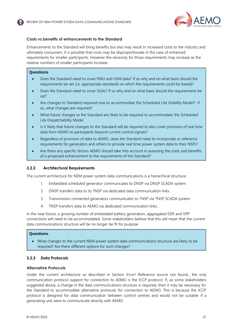

#### **Costs vs benefits of enhancements to the Standard**

Enhancements to the Standard will bring benefits but also may result in increased costs to the industry and ultimately consumers. It is possible that costs may be disproportionate in the case of enhanced requirements for smaller participants. However the necessity for those requirements may increase as the relative numbers of smaller participants increase.

#### **Questions**

- Does the Standard need to cover PMU and HSM data? If so why and on what basis should the requirements be set (i.e. appropriate standards on which the requirements could be based)?
- Does the Standard need to cover SGAs? If so why and on what basis should the requirements be set?
- Are changes to Standard required now to accommodate the Scheduled Lite Visibility Model? If so, what changes are required?
- What future changes to the Standard are likely to be required to accommodate the Scheduled Lite Dispatchability Model
- Is it likely that future changes to the Standard will be required to also cover provision of real time data from AEMO to participants beyond current control signals?
- Regardless of provision of data to AEMO, does the Standard need to incorporate or reference requirements for generators and others to provide real time power system data to their NSPs?
- Are there any specific factors AEMO should take into account in assessing the costs and benefits of a proposed enhancement to the requirements of the Standard?

#### **3.2.2 Architectural Requirements**

The current architecture for NEM power system data communications is a hierarchical structure:

- 1. Embedded scheduled generator communicates to DNSP via DNSP SCADA system
- 2. DNSP transfers data to its TNSP via dedicated data communication links
- 3. Transmission connected generators communicates to TNSP via TNSP SCADA system
- 4. TNSP transfers data to AEMO via dedicated communication links.

In the near future, a growing number of embedded battery generation, aggregated DER and VPP connections will need to be accommodated. Some stakeholders believe that this will mean that the current data communications structure will be no longer be fit for purpose.

#### **Questions**

• What changes to the current NEM power system data communications structure are likely to be required? Are there different options for such changes?

## **3.2.3 Data Protocols**

#### **Alternative Protocols**

Under the current architecture as described in Section Error! Reference source not found., the only communication protocol support for connection to AEMO is the ICCP protocol. If, as some stakeholders suggested above, a change in the data communications structure is required, then it may be necessary for the Standard to accommodate alternative protocols for connection to AEMO. This is because the ICCP protocol is designed for data communication between control centres and would not be suitable if a generating unit were to communicate directly with AEMO.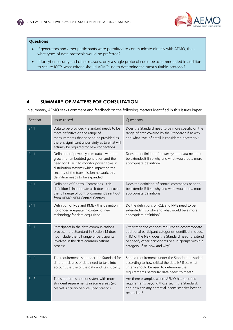

#### **Questions**

- If generators and other participants were permitted to communicate directly with AEMO, then what types of data protocols would be preferred?
- If for cyber security and other reasons, only a single protocol could be accommodated in addition to secure ICCP, what criteria should AEMO use to determine the most suitable protocol?

# <span id="page-22-0"></span>**4. SUMMARY OF MATTERS FOR CONSULTATION**

In summary, AEMO seeks comment and feedback on the following matters identified in this Issues Paper:

| Section | Issue raised                                                                                                                                                                                                                                                 | Questions                                                                                                                                                                                                                                                |
|---------|--------------------------------------------------------------------------------------------------------------------------------------------------------------------------------------------------------------------------------------------------------------|----------------------------------------------------------------------------------------------------------------------------------------------------------------------------------------------------------------------------------------------------------|
| 3.1.1   | Data to be provided - Standard needs to be<br>more definitive on the range of<br>measurements that need to be provided as<br>there is significant uncertainty as to what will<br>actually be required for new connections.                                   | Does the Standard need to be more specific on the<br>range of data covered by the Standard? If so why<br>and what level of detail is considered necessary?                                                                                               |
| 3.1.1   | Definition of power system data - with the<br>growth of embedded generation and the<br>need for AEMO to monitor power flows in<br>distribution systems which impact on the<br>security of the transmission network, this<br>definition needs to be expanded. | Does the definition of power system data need to<br>be extended? If so why and what would be a more<br>appropriate definition?                                                                                                                           |
| 3.1.1   | Definition of Control Commands - this<br>definition is inadequate as it does not cover<br>the full range of control commands sent out<br>from AEMO NEM Control Centres.                                                                                      | Does the definition of control commands need to<br>be extended? If so why and what would be a more<br>appropriate definition?                                                                                                                            |
| 3.1.1   | Definition of RCE and RME - this definition in<br>no longer adequate in context of new<br>technology for data acquisition.                                                                                                                                   | Do the definitions of RCE and RME need to be<br>extended? If so why and what would be a more<br>appropriate definition?                                                                                                                                  |
| 3.1.1   | Participants in the data communications<br>process - the Standard in Section 1.1 does<br>not include the full range of participants<br>involved in the data communications<br>process.                                                                       | Other than the changes required to accommodate<br>additional participant categories identified in clause<br>4.11.1 of the NER, does the Standard need to extend<br>or specify other participants or sub-groups within a<br>category. If so, how and why? |
| 3.1.2   | The requirements set under the Standard for<br>different classes of data need to take into<br>account the use of the data and its criticality.                                                                                                               | Should requirements under the Standard be varied<br>according to how critical the data is? If so, what<br>criteria should be used to determine the<br>requirements particular data needs to meet?                                                        |
| 3.1.2   | The standard is not consistent with more<br>stringent requirements in some areas (e.g.<br>Market Ancillary Service Specification).                                                                                                                           | Are there examples where AEMO has specified<br>requirements beyond those set in the Standard,<br>and how can any potential inconsistencies best be<br>reconciled?                                                                                        |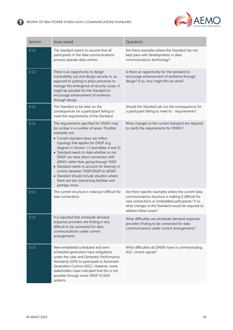

| Section | Issue raised                                                                                                                                                                                                                                                                                                                                                                                                                                                                                                                                                  | Questions                                                                                                                                                                                                                                  |
|---------|---------------------------------------------------------------------------------------------------------------------------------------------------------------------------------------------------------------------------------------------------------------------------------------------------------------------------------------------------------------------------------------------------------------------------------------------------------------------------------------------------------------------------------------------------------------|--------------------------------------------------------------------------------------------------------------------------------------------------------------------------------------------------------------------------------------------|
| 3.1.2   | The standard seems to assume that all<br>participants in the data communications<br>process operate data centres.                                                                                                                                                                                                                                                                                                                                                                                                                                             | Are there examples where the Standard has not<br>kept pace with developments in data<br>communications technology?                                                                                                                         |
| 3.1.2   | There is an opportunity to design<br>vulnerability out and design security in, as<br>opposed to putting in place processes to<br>manage the emergence of security issues. It<br>might be possible for the Standard to<br>encourage enhancement of resilience<br>through design.                                                                                                                                                                                                                                                                               | Is there an opportunity for the standard to<br>encourage enhancement of resilience through<br>design? If so, how might this be done?                                                                                                       |
| 3.1.2   | The Standard to be clear on the<br>consequences for a participant failing to<br>meet the requirements of the Standard.                                                                                                                                                                                                                                                                                                                                                                                                                                        | Should the Standard set out the consequences for<br>a participant failing to meet its requirements?                                                                                                                                        |
| 3.1.3   | The requirements specified for DNSPs may<br>be unclear in a number of areas. Possible<br>examples are:<br>• Current standard does not reflect<br>topology that applies for DNSP (e.g.<br>diagram in Section 1.3 and tables 4 and 5).<br>• Standard needs to state whether or not<br>DNSP can have direct connection with<br>AEMO rather than going through TNSP<br>• Standard needs to account for diversity in<br>comms between TNSP/DNSP to AEMO.<br>• Standard should include situation where<br>there are two intervening facilities and<br>perhaps more. | What changes to the current Standard are required<br>to clarify the requirements for DNSPs?                                                                                                                                                |
| 3.1.3   | The current structure is making it difficult for<br>new connections.                                                                                                                                                                                                                                                                                                                                                                                                                                                                                          | Are there specific examples where the current data<br>communications structure is making it difficult for<br>new connections or embedded participants? If so<br>what changes in the Standard would be required to<br>address these issues? |
| 3.1.3   | It is reported that wholesale demand<br>response providers are finding it very<br>difficult to be connected for data<br>communications under current<br>arrangements.                                                                                                                                                                                                                                                                                                                                                                                         | What difficulties are wholesale demand response<br>providers finding to be connected for data<br>communications under current arrangements?                                                                                                |
| 3.1.3   | New embedded scheduled and semi-<br>scheduled generators have obligations<br>under the rules and Generator Performance<br>Standards (GPS) to participate in Automatic<br>Generation Control (AGC). However, some<br>stakeholders have indicated that this is not<br>possible through some DNSP SCADA<br>systems.                                                                                                                                                                                                                                              | What difficulties do DNSPs have in communicating<br>AGC control signals?                                                                                                                                                                   |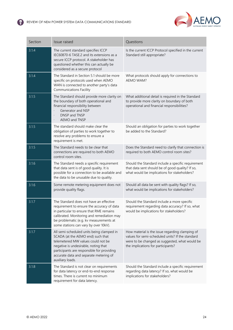

| Section | Issue raised                                                                                                                                                                                                                                                             | Questions                                                                                                                                                                                   |
|---------|--------------------------------------------------------------------------------------------------------------------------------------------------------------------------------------------------------------------------------------------------------------------------|---------------------------------------------------------------------------------------------------------------------------------------------------------------------------------------------|
| 3.1.4   | The current standard specifies ICCP<br>IEC60870-6 TASE.2 and its extensions as a<br>secure ICCP protocol. A stakeholder has<br>questioned whether this can actually be<br>considered as a secure protocol                                                                | Is the current ICCP Protocol specified in the current<br>Standard still appropriate?                                                                                                        |
| 3.1.4   | The Standard in Section 5.1 should be more<br>specific on protocols used when AEMO<br>WAN is connected to another party's data<br><b>Communications Facility</b>                                                                                                         | What protocols should apply for connections to<br>AEMO WAM?                                                                                                                                 |
| 3.1.5   | The Standard should provide more clarity on<br>the boundary of both operational and<br>financial responsibility between<br>Generator and NSP<br>DNSP and TNSP<br>$\cdot$<br>AEMO and TNSP<br>$\ddot{\phantom{0}}$                                                        | What additional detail is required in the Standard<br>to provide more clarity on boundary of both<br>operational and financial responsibilities?                                            |
| 3.1.5   | The standard should make clear the<br>obligation of parties to work together to<br>resolve any problems to ensure a<br>requirement is met.                                                                                                                               | Should an obligation for parties to work together<br>be added to the Standard?                                                                                                              |
| 3.1.5   | The Standard needs to be clear that<br>connections are required to both AEMO<br>control room sites.                                                                                                                                                                      | Does the Standard need to clarify that connection is<br>required to both AEMO control room sites?                                                                                           |
| 3.1.6   | The Standard needs a specific requirement<br>that data sent is of good quality. It is<br>possible for a connection to be available and<br>the data to be unusable due to quality.                                                                                        | Should the Standard include a specific requirement<br>that data sent should be of good quality? If so,<br>what would be implications for stakeholders?                                      |
| 3.1.6   | Some remote metering equipment does not<br>provide quality flags.                                                                                                                                                                                                        | Should all data be sent with quality flags? If so,<br>what would be implications for stakeholders?                                                                                          |
| 3.1.7   | The Standard does not have an effective<br>requirement to ensure the accuracy of data<br>in particular to ensure that RME remains<br>calibrated. Monitoring and remediation may<br>be problematic (e.g. kv measurements at<br>some stations can vary by over 10kV).      | Should the Standard include a more specific<br>requirement regarding data accuracy? If so, what<br>would be implications for stakeholders?                                                  |
| 3.1.7   | All semi-scheduled units being clamped in<br>SCADA (at the AEMO end) such that<br>telemetered MW values could not be<br>negative is undesirable, noting that<br>participants are responsible for providing<br>accurate data and separate metering of<br>auxiliary loads. | How material is the issue regarding clamping of<br>values for semi-scheduled units? If the standard<br>were to be changed as suggested, what would be<br>the implications for participants? |
| 3.1.8   | The Standard is not clear on requirements<br>for data latency or end-to-end response<br>times. There is current no minimum<br>requirement for data latency.                                                                                                              | Should the Standard include a specific requirement<br>regarding data latency? If so, what would be<br>implications for stakeholders?                                                        |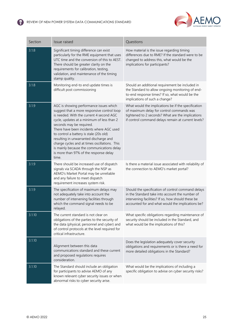

| Section | Issue raised                                                                                                                                                                                                                                                                                                                                                                                                                                                                                    | Questions                                                                                                                                                                                                        |  |
|---------|-------------------------------------------------------------------------------------------------------------------------------------------------------------------------------------------------------------------------------------------------------------------------------------------------------------------------------------------------------------------------------------------------------------------------------------------------------------------------------------------------|------------------------------------------------------------------------------------------------------------------------------------------------------------------------------------------------------------------|--|
| 3.1.8   | Significant timing difference can exist<br>particularly for the RME equipment that uses<br>UTC time and the conversion of this to AEST.<br>There should be greater clarity on the<br>requirements for calibration, testing,<br>validation, and maintenance of the timing<br>stamp quality.                                                                                                                                                                                                      | How material is the issue regarding timing<br>differences due to RME? If the standard were to be<br>changed to address this, what would be the<br>implications for participants?                                 |  |
| 3.1.8   | Monitoring end-to end update times is<br>difficult post commissioning                                                                                                                                                                                                                                                                                                                                                                                                                           | Should an additional requirement be included in<br>the Standard to allow ongoing monitoring of end-<br>to-end response times? If so, what would be the<br>implications of such a change?                         |  |
| 3.1.9   | AGC is showing performance issues which<br>suggest that a more responsive control loop<br>is needed. With the current 4 second AGC<br>cycle, updates at a minimum of less than 2<br>seconds may be required.<br>There have been incidents where AGC used<br>to control a battery is stale (20s old)<br>resulting in unwarranted discharge and<br>charge cycles and at times oscillations. This<br>is mainly because the communications delay<br>is more than 97% of the response delay<br>time. | What would the implications be if the specification<br>of maximum delay for control commands was<br>tightened to 2 seconds? What are the implications<br>if control command delays remain at current levels?     |  |
| 3.1.9   | There should be increased use of dispatch<br>signals via SCADA through the NSP as<br>AEMO's Market Portal may be unreliable<br>and any failure to meet dispatch<br>requirement increases system risk.                                                                                                                                                                                                                                                                                           | Is there a material issue associated with reliability of<br>the connection to AEMO's market portal?                                                                                                              |  |
| 3.1.9   | The specification of maximum delays may<br>not adequately take into account the<br>number of intervening facilities through<br>which the command signal needs to be<br>relayed.                                                                                                                                                                                                                                                                                                                 | Should the specification of control command delays<br>in the Standard take into account the number of<br>intervening facilities? If so, how should these be<br>accounted for and what would the implications be? |  |
| 3.1.10  | The current standard is not clear on<br>obligations of the parties to the security of<br>the data (physical, personnel and cyber) and<br>of control protocols at the level required for<br>critical infrastructure.                                                                                                                                                                                                                                                                             | What specific obligations regarding maintenance of<br>security should be included in the Standard, and<br>what would be the implications of this?                                                                |  |
| 3.1.10  | Alignment between this data<br>communications standard and these current<br>and proposed regulations requires<br>consideration.                                                                                                                                                                                                                                                                                                                                                                 | Does the legislation adequately cover security<br>obligations and requirements or is there a need for<br>more detailed obligations in the Standard?                                                              |  |
| 3.1.10  | The Standard should include an obligation<br>for participants to advise AEMO of any<br>known relevant cyber security issues or when<br>abnormal risks to cyber security arise.                                                                                                                                                                                                                                                                                                                  | What would be the implications of including a<br>specific obligation to advise on cyber security risks?                                                                                                          |  |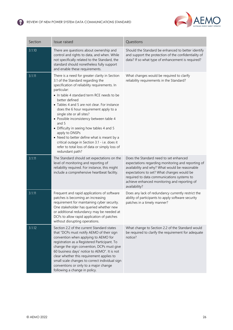

| Section | Issue raised                                                                                                                                                                                                                                                                                                                                                                                                                                                                                                                                                                                                                      | Questions                                                                                                                                                                                                                                                                                                   |
|---------|-----------------------------------------------------------------------------------------------------------------------------------------------------------------------------------------------------------------------------------------------------------------------------------------------------------------------------------------------------------------------------------------------------------------------------------------------------------------------------------------------------------------------------------------------------------------------------------------------------------------------------------|-------------------------------------------------------------------------------------------------------------------------------------------------------------------------------------------------------------------------------------------------------------------------------------------------------------|
| 3.1.10  | There are questions about ownership and<br>control and rights to data, and when. While<br>not specifically related to the Standard, the<br>standard should nonetheless fully support<br>and enable these requirements.                                                                                                                                                                                                                                                                                                                                                                                                            | Should the Standard be enhanced to better identify<br>and support the protection of the confidentiality of<br>data? If so what type of enhancement is required?                                                                                                                                             |
| 3.1.11  | There is a need for greater clarity in Section<br>3.1 of the Standard regarding the<br>specification of reliability requirements. In<br>particular:<br>• In table 4 standard term RCE needs to be<br>better defined<br>• Tables 4 and 5 are not clear. For instance<br>does the 6 hour requirement apply to a<br>single site or all sites?<br>· Possible inconsistency between table 4<br>and 5<br>• Difficulty in seeing how tables 4 and 5<br>apply to DNSPs<br>• Need to better define what is meant by a<br>critical outage in Section 3.1 - i.e. does it<br>refer to total loss of data or simply loss of<br>redundant path? | What changes would be required to clarify<br>reliability requirements in the Standard?                                                                                                                                                                                                                      |
| 3.1.11  | The Standard should set expectations on the<br>level of monitoring and reporting of<br>reliability required. For instance, this might<br>include a comprehensive heartbeat facility.                                                                                                                                                                                                                                                                                                                                                                                                                                              | Does the Standard need to set enhanced<br>expectations regarding monitoring and reporting of<br>availability and why? What would be reasonable<br>expectations to set? What changes would be<br>required to data communications systems to<br>achieve enhanced monitoring and reporting of<br>availability? |
| 3.1.11  | Frequent and rapid applications of software<br>patches is becoming an increasing<br>requirement for maintaining cyber security.<br>One stakeholder has queried whether new<br>or additional redundancy may be needed at<br>DCFs to allow rapid application of patches<br>without disrupting operations.                                                                                                                                                                                                                                                                                                                           | Does any lack of redundancy currently restrict the<br>ability of participants to apply software security<br>patches in a timely manner?                                                                                                                                                                     |
| 3.1.12  | Section 2.2 of the current Standard states<br>that "DCPs must notify AEMO of their sign<br>convention when applying to AEMO for<br>registration as a Registered Participant. To<br>change the sign convention, DCPs must give<br>60 business days' notice to AEMO". It is not<br>clear whether this requirement applies to<br>small scale changes to correct individual sign<br>conventions or only to a major change<br>following a change in policy.                                                                                                                                                                            | What change to Section 2.2 of the Standard would<br>be required to clarify the requirement for adequate<br>notice?                                                                                                                                                                                          |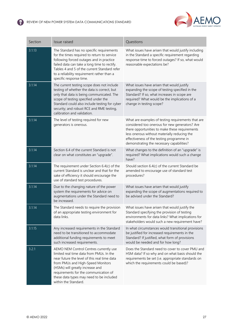

| Section | Issue raised                                                                                                                                                                                                                                                                                                             | Questions                                                                                                                                                                                                                                                                                        |  |
|---------|--------------------------------------------------------------------------------------------------------------------------------------------------------------------------------------------------------------------------------------------------------------------------------------------------------------------------|--------------------------------------------------------------------------------------------------------------------------------------------------------------------------------------------------------------------------------------------------------------------------------------------------|--|
| 3.1.13  | The Standard has no specific requirements<br>for the times required to return to service<br>following forced outages and in practice<br>failed data can take a long time to rectify.<br>Tables 4 and 5 of the current Standard refer<br>to a reliability requirement rather than a<br>specific response time.            | What issues have arisen that would justify including<br>in the Standard a specific requirement regarding<br>response time to forced outages? If so, what would<br>reasonable expectations be?                                                                                                    |  |
| 3.1.14  | The current testing scope does not include<br>testing of whether the data is correct, but<br>only that data is being communicated. The<br>scope of testing specified under the<br>Standard could also include testing for cyber<br>security; and robust RCE and RME testing,<br>calibration and validation.              | What issues have arisen that would justify<br>expanding the scope of testing specified in the<br>Standard? If so, what increases in scope are<br>required? What would be the implications of a<br>change in testing scope?                                                                       |  |
| 3.1.14  | The level of testing required for new<br>generators is onerous.                                                                                                                                                                                                                                                          | What are examples of testing requirements that are<br>considered too onerous for new generators? Are<br>there opportunities to make these requirements<br>less onerous without materially reducing the<br>effectiveness of the testing programme in<br>demonstrating the necessary capabilities? |  |
| 3.1.14  | Section 6.4 of the current Standard is not<br>clear on what constitutes an "upgrade".                                                                                                                                                                                                                                    | What changes to the definition of an "upgrade" is<br>required? What implications would such a change<br>have?                                                                                                                                                                                    |  |
| 3.1.14  | The requirement under Section 6.4(c) of the<br>current Standard is unclear and that for the<br>sake of efficiency it should encourage the<br>use of standard test procedures.                                                                                                                                            | Should section 6.4(c) of the current Standard be<br>amended to encourage use of standard test<br>procedures?                                                                                                                                                                                     |  |
| 3.1.14  | Due to the changing nature of the power<br>system the requirements for advice on<br>augmentations under the Standard need to<br>be increased.                                                                                                                                                                            | What issues have arisen that would justify<br>expanding the scope of augmentations required to<br>be advised under the Standard?                                                                                                                                                                 |  |
| 3.1.14  | The Standard needs to require the provision<br>of an appropriate testing environment for<br>data links.                                                                                                                                                                                                                  | What issues have arisen that would justify the<br>Standard specifying the provision of testing<br>environments for data links? What implications for<br>stakeholders would such a new requirement have?                                                                                          |  |
| 3.1.15  | Any increased requirements in the Standard<br>need to be transitioned to accommodate<br>additional funding requirements to meet<br>such increased requirements.                                                                                                                                                          | In what circumstances would transitional provisions<br>be justified for increased requirements in the<br>Standard? If justified, what form of provisions<br>would be needed and for how long?                                                                                                    |  |
| 3.2.1   | AEMO NEM Control Centres currently use<br>limited real time data from PMUs. In the<br>near future the level of this real time data<br>from PMUs and High-Speed Monitors<br>(HSMs) will greatly increase and<br>requirements for the communication of<br>these data types may need to be included<br>within the Standard. | Does the Standard need to cover to cover PMU and<br>HSM data? If so why and on what basis should the<br>requirements be set (i.e. appropriate standards on<br>which the requirements could be based)?                                                                                            |  |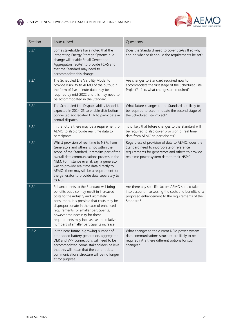

| Section | Issue raised                                                                                                                                                                                                                                                                                                                                                                                   | Questions                                                                                                                                                                                         |  |
|---------|------------------------------------------------------------------------------------------------------------------------------------------------------------------------------------------------------------------------------------------------------------------------------------------------------------------------------------------------------------------------------------------------|---------------------------------------------------------------------------------------------------------------------------------------------------------------------------------------------------|--|
| 3.2.1   | Some stakeholders have noted that the<br>Integrating Energy Storage Systems rule<br>change will enable Small Generation<br>Aggregators (SGAs) to provide FCAS and<br>that the Standard may need to<br>accommodate this change                                                                                                                                                                  | Does the Standard need to cover SGAs? If so why<br>and on what basis should the requirements be set?                                                                                              |  |
| 3.2.1   | The Scheduled Lite Visibility Model to<br>provide visibility to AEMO of the output in<br>the form of five-minute data may be<br>required by mid-2022 and this may need to<br>be accommodated in the Standard.                                                                                                                                                                                  | Are changes to Standard required now to<br>accommodate the first stage of the Scheduled Lite<br>Project? If so, what changes are required?                                                        |  |
| 3.2.1   | The Scheduled Lite Dispatchability Model is<br>expected in 2024-25 to enable distribution<br>connected aggregated DER to participate in<br>central dispatch.                                                                                                                                                                                                                                   | What future changes to the Standard are likely to<br>be required to accommodate the second stage of<br>the Scheduled Lite Project?                                                                |  |
| 3.2.1   | In the future there may be a requirement for<br>AEMO to also provide real time data to<br>participants.                                                                                                                                                                                                                                                                                        | Is it likely that future changes to the Standard will<br>be required to also cover provision of real time<br>data from AEMO to participants?                                                      |  |
| 3.2.1   | Whilst provision of real time to NSPs from<br>Generators and others is not within the<br>scope of the Standard, it remains part of the<br>overall data communications process in the<br>NEM. For instance even if, say, a generator<br>was to provide real time data directly to<br>AEMO, there may still be a requirement for<br>the generator to provide data separately to<br>its NSP.      | Regardless of provision of data to AEMO, does the<br>Standard need to incorporate or reference<br>requirements for generators and others to provide<br>real time power system data to their NSPs? |  |
| 3.2.1   | Enhancements to the Standard will bring<br>benefits but also may result in increased<br>costs to the industry and ultimately<br>consumers. It is possible that costs may be<br>disproportionate in the case of enhanced<br>requirements for smaller participants,<br>however the necessity for those<br>requirements may increase as the relative<br>numbers of smaller participants increase. | Are there any specific factors AEMO should take<br>into account in assessing the costs and benefits of a<br>proposed enhancement to the requirements of the<br>Standard?                          |  |
| 3.2.2   | In the near future, a growing number of<br>embedded battery generation, aggregated<br>DER and VPP connections will need to be<br>accommodated. Some stakeholders believe<br>that this will mean that the current data<br>communications structure will be no longer<br>fit for purpose.                                                                                                        | What changes to the current NEM power system<br>data communications structure are likely to be<br>required? Are there different options for such<br>changes?                                      |  |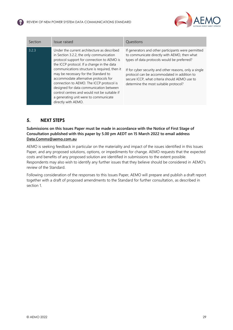

| Section | Issue raised                                                                                                                                                                                                                                                                                                                                                                                                                                                                                                                 | Questions                                                                                                                                                                                                                                                                                                                                             |
|---------|------------------------------------------------------------------------------------------------------------------------------------------------------------------------------------------------------------------------------------------------------------------------------------------------------------------------------------------------------------------------------------------------------------------------------------------------------------------------------------------------------------------------------|-------------------------------------------------------------------------------------------------------------------------------------------------------------------------------------------------------------------------------------------------------------------------------------------------------------------------------------------------------|
| 3.2.3   | Under the current architecture as described<br>in Section 3.2.2, the only communication<br>protocol support for connection to AEMO is<br>the ICCP protocol. If a change in the data<br>communications structure is required, then it<br>may be necessary for the Standard to<br>accommodate alternative protocols for<br>connection to AEMO. The ICCP protocol is<br>designed for data communication between<br>control centres and would not be suitable if<br>a generating unit were to communicate<br>directly with AEMO. | If generators and other participants were permitted<br>to communicate directly with AEMO, then what<br>types of data protocols would be preferred?<br>If for cyber security and other reasons, only a single<br>protocol can be accommodated in addition to<br>secure ICCP, what criteria should AEMO use to<br>determine the most suitable protocol? |

# <span id="page-29-0"></span>**5. NEXT STEPS**

**Submissions on this Issues Paper must be made in accordance with the Notice of First Stage of Consultation published with this paper by 5.00 pm AEDT on 15 March 2022 to email address [Data.Comms@aemo.com.au](mailto:Data.Comms@aemo.com.au)**

AEMO is seeking feedback in particular on the materiality and impact of the issues identified in this Issues Paper, and any proposed solutions, options, or impediments for change. AEMO requests that the expected costs and benefits of any proposed solution are identified in submissions to the extent possible. Respondents may also wish to identify any further issues that they believe should be considered in AEMO's review of the Standard.

Following consideration of the responses to this Issues Paper, AEMO will prepare and publish a draft report together with a draft of proposed amendments to the Standard for further consultation, as described in section 1.